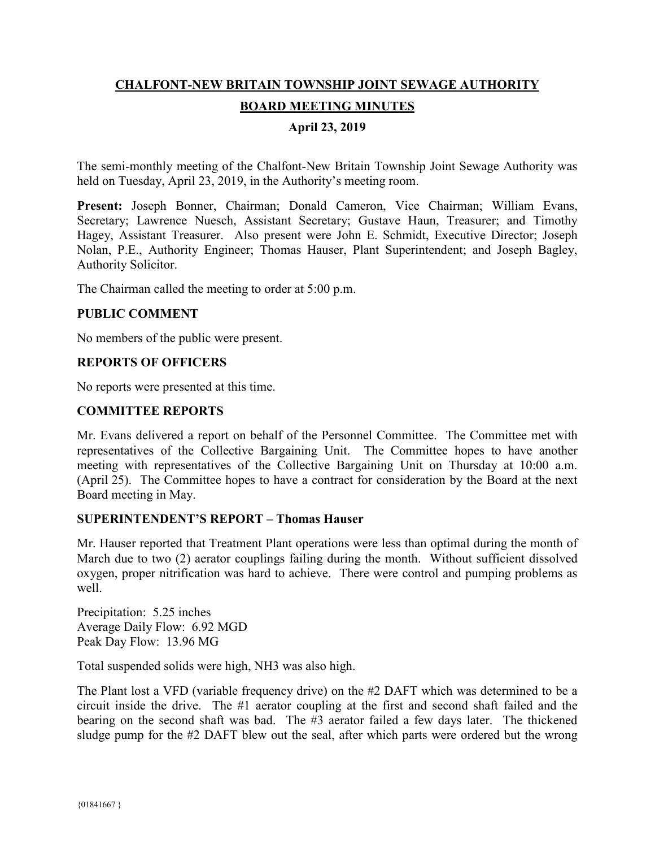# **CHALFONT-NEW BRITAIN TOWNSHIP JOINT SEWAGE AUTHORITY BOARD MEETING MINUTES**

# **April 23, 2019**

The semi-monthly meeting of the Chalfont-New Britain Township Joint Sewage Authority was held on Tuesday, April 23, 2019, in the Authority's meeting room.

**Present:** Joseph Bonner, Chairman; Donald Cameron, Vice Chairman; William Evans, Secretary; Lawrence Nuesch, Assistant Secretary; Gustave Haun, Treasurer; and Timothy Hagey, Assistant Treasurer. Also present were John E. Schmidt, Executive Director; Joseph Nolan, P.E., Authority Engineer; Thomas Hauser, Plant Superintendent; and Joseph Bagley, Authority Solicitor.

The Chairman called the meeting to order at 5:00 p.m.

## **PUBLIC COMMENT**

No members of the public were present.

## **REPORTS OF OFFICERS**

No reports were presented at this time.

#### **COMMITTEE REPORTS**

Mr. Evans delivered a report on behalf of the Personnel Committee. The Committee met with representatives of the Collective Bargaining Unit. The Committee hopes to have another meeting with representatives of the Collective Bargaining Unit on Thursday at 10:00 a.m. (April 25). The Committee hopes to have a contract for consideration by the Board at the next Board meeting in May.

#### **SUPERINTENDENT'S REPORT – Thomas Hauser**

Mr. Hauser reported that Treatment Plant operations were less than optimal during the month of March due to two (2) aerator couplings failing during the month. Without sufficient dissolved oxygen, proper nitrification was hard to achieve. There were control and pumping problems as well.

Precipitation: 5.25 inches Average Daily Flow: 6.92 MGD Peak Day Flow: 13.96 MG

Total suspended solids were high, NH3 was also high.

The Plant lost a VFD (variable frequency drive) on the #2 DAFT which was determined to be a circuit inside the drive. The #1 aerator coupling at the first and second shaft failed and the bearing on the second shaft was bad. The #3 aerator failed a few days later. The thickened sludge pump for the #2 DAFT blew out the seal, after which parts were ordered but the wrong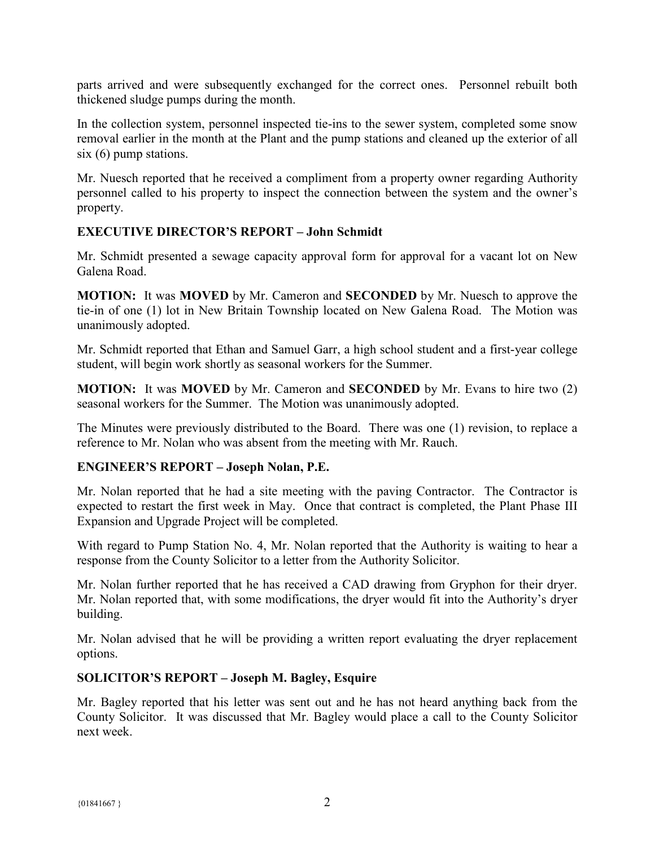parts arrived and were subsequently exchanged for the correct ones. Personnel rebuilt both thickened sludge pumps during the month.

In the collection system, personnel inspected tie-ins to the sewer system, completed some snow removal earlier in the month at the Plant and the pump stations and cleaned up the exterior of all six (6) pump stations.

Mr. Nuesch reported that he received a compliment from a property owner regarding Authority personnel called to his property to inspect the connection between the system and the owner's property.

## **EXECUTIVE DIRECTOR'S REPORT – John Schmidt**

Mr. Schmidt presented a sewage capacity approval form for approval for a vacant lot on New Galena Road.

**MOTION:** It was **MOVED** by Mr. Cameron and **SECONDED** by Mr. Nuesch to approve the tie-in of one (1) lot in New Britain Township located on New Galena Road. The Motion was unanimously adopted.

Mr. Schmidt reported that Ethan and Samuel Garr, a high school student and a first-year college student, will begin work shortly as seasonal workers for the Summer.

**MOTION:** It was **MOVED** by Mr. Cameron and **SECONDED** by Mr. Evans to hire two (2) seasonal workers for the Summer. The Motion was unanimously adopted.

The Minutes were previously distributed to the Board. There was one (1) revision, to replace a reference to Mr. Nolan who was absent from the meeting with Mr. Rauch.

#### **ENGINEER'S REPORT – Joseph Nolan, P.E.**

Mr. Nolan reported that he had a site meeting with the paving Contractor. The Contractor is expected to restart the first week in May. Once that contract is completed, the Plant Phase III Expansion and Upgrade Project will be completed.

With regard to Pump Station No. 4, Mr. Nolan reported that the Authority is waiting to hear a response from the County Solicitor to a letter from the Authority Solicitor.

Mr. Nolan further reported that he has received a CAD drawing from Gryphon for their dryer. Mr. Nolan reported that, with some modifications, the dryer would fit into the Authority's dryer building.

Mr. Nolan advised that he will be providing a written report evaluating the dryer replacement options.

## **SOLICITOR'S REPORT – Joseph M. Bagley, Esquire**

Mr. Bagley reported that his letter was sent out and he has not heard anything back from the County Solicitor. It was discussed that Mr. Bagley would place a call to the County Solicitor next week.